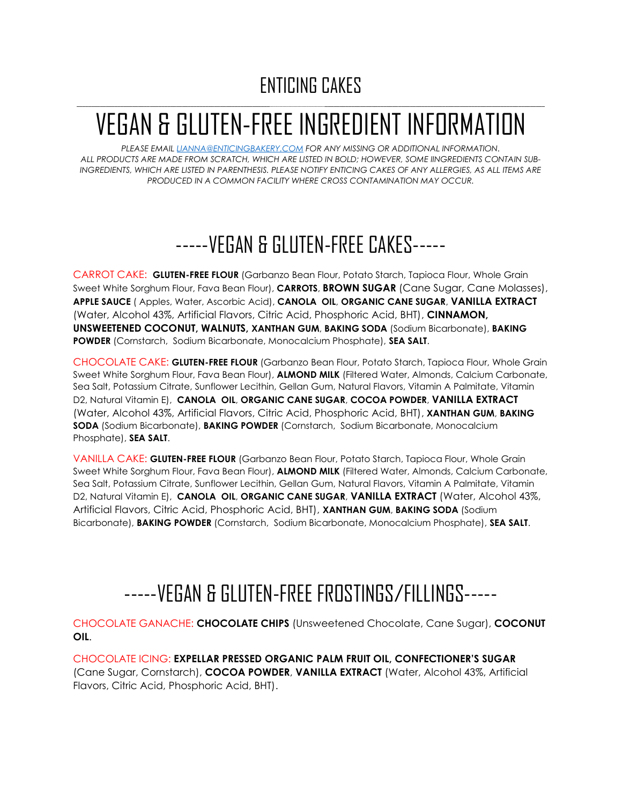#### ENTICING CAKES  $\Box$  . The contract of the contract of the contract of the contract of the contract of the contract of the contract of the contract of the contract of the contract of the contract of the contract of the contract of the co

# VEGAN & GLUTEN-FREE INGREDIENT INFORMATION

*PLEASE EMAIL [LIANNA@ENTICINGBAKERY.COM](mailto:LIANNA@ENTICINGBAKERY.COM) FOR ANY MISSING OR ADDITIONAL INFORMATION. ALL PRODUCTS ARE MADE FROM SCRATCH, WHICH ARE LISTED IN BOLD; HOWEVER, SOME IINGREDIENTS CONTAIN SUB-INGREDIENTS, WHICH ARE LISTED IN PARENTHESIS. PLEASE NOTIFY ENTICING CAKES OF ANY ALLERGIES, AS ALL ITEMS ARE PRODUCED IN A COMMON FACILITY WHERE CROSS CONTAMINATION MAY OCCUR.*

## -----VEGAN & GLUTEN-FREE CAKES-----

CARROT CAKE: **GLUTEN-FREE FLOUR** (Garbanzo Bean Flour, Potato Starch, Tapioca Flour, Whole Grain Sweet White Sorghum Flour, Fava Bean Flour), **CARROTS**, **BROWN SUGAR** (Cane Sugar, Cane Molasses), **APPLE SAUCE** ( Apples, Water, Ascorbic Acid), **CANOLA OIL**, **ORGANIC CANE SUGAR**, **VANILLA EXTRACT** (Water, Alcohol 43%, Artificial Flavors, Citric Acid, Phosphoric Acid, BHT), **CINNAMON, UNSWEETENED COCONUT, WALNUTS, XANTHAN GUM**, **BAKING SODA** (Sodium Bicarbonate), **BAKING POWDER** (Cornstarch, Sodium Bicarbonate, Monocalcium Phosphate), **SEA SALT**.

CHOCOLATE CAKE: **GLUTEN-FREE FLOUR** (Garbanzo Bean Flour, Potato Starch, Tapioca Flour, Whole Grain Sweet White Sorghum Flour, Fava Bean Flour), **ALMOND MILK** (Filtered Water, Almonds, Calcium Carbonate, Sea Salt, Potassium Citrate, Sunflower Lecithin, Gellan Gum, Natural Flavors, Vitamin A Palmitate, Vitamin D2, Natural Vitamin E), **CANOLA OIL**, **ORGANIC CANE SUGAR**, **COCOA POWDER**, **VANILLA EXTRACT** (Water, Alcohol 43%, Artificial Flavors, Citric Acid, Phosphoric Acid, BHT), **XANTHAN GUM**, **BAKING SODA** (Sodium Bicarbonate), **BAKING POWDER** (Cornstarch, Sodium Bicarbonate, Monocalcium Phosphate), **SEA SALT**.

VANILLA CAKE: **GLUTEN-FREE FLOUR** (Garbanzo Bean Flour, Potato Starch, Tapioca Flour, Whole Grain Sweet White Sorghum Flour, Fava Bean Flour), **ALMOND MILK** (Filtered Water, Almonds, Calcium Carbonate, Sea Salt, Potassium Citrate, Sunflower Lecithin, Gellan Gum, Natural Flavors, Vitamin A Palmitate, Vitamin D2, Natural Vitamin E), **CANOLA OIL**, **ORGANIC CANE SUGAR**, **VANILLA EXTRACT** (Water, Alcohol 43%, Artificial Flavors, Citric Acid, Phosphoric Acid, BHT), **XANTHAN GUM**, **BAKING SODA** (Sodium Bicarbonate), **BAKING POWDER** (Cornstarch, Sodium Bicarbonate, Monocalcium Phosphate), **SEA SALT**.

### -----VEGAN & GLUTEN-FREE FROSTINGS/FILLINGS-----

CHOCOLATE GANACHE: **CHOCOLATE CHIPS** (Unsweetened Chocolate, Cane Sugar), **COCONUT OIL**.

CHOCOLATE ICING: **EXPELLAR PRESSED ORGANIC PALM FRUIT OIL, CONFECTIONER'S SUGAR** (Cane Sugar, Cornstarch), **COCOA POWDER**, **VANILLA EXTRACT** (Water, Alcohol 43%, Artificial Flavors, Citric Acid, Phosphoric Acid, BHT).